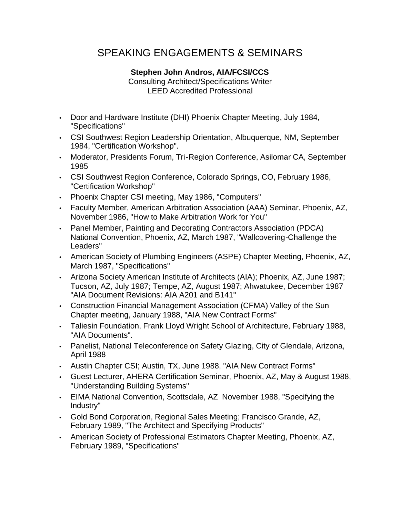## SPEAKING ENGAGEMENTS & SEMINARS

## **Stephen John Andros, AIA/FCSI/CCS**

Consulting Architect/Specifications Writer LEED Accredited Professional

- Door and Hardware Institute (DHI) Phoenix Chapter Meeting, July 1984, "Specifications"
- CSI Southwest Region Leadership Orientation, Albuquerque, NM, September 1984, "Certification Workshop".
- Moderator, Presidents Forum, Tri-Region Conference, Asilomar CA, September 1985
- CSI Southwest Region Conference, Colorado Springs, CO, February 1986, "Certification Workshop"
- Phoenix Chapter CSI meeting, May 1986, "Computers"
- Faculty Member, American Arbitration Association (AAA) Seminar, Phoenix, AZ, November 1986, "How to Make Arbitration Work for You"
- Panel Member, Painting and Decorating Contractors Association (PDCA) National Convention, Phoenix, AZ, March 1987, "Wallcovering-Challenge the Leaders"
- American Society of Plumbing Engineers (ASPE) Chapter Meeting, Phoenix, AZ, March 1987, "Specifications"
- Arizona Society American Institute of Architects (AIA); Phoenix, AZ, June 1987; Tucson, AZ, July 1987; Tempe, AZ, August 1987; Ahwatukee, December 1987 "AIA Document Revisions: AIA A201 and B141"
- Construction Financial Management Association (CFMA) Valley of the Sun Chapter meeting, January 1988, "AIA New Contract Forms"
- Taliesin Foundation, Frank Lloyd Wright School of Architecture, February 1988, "AIA Documents".
- Panelist, National Teleconference on Safety Glazing, City of Glendale, Arizona, April 1988
- Austin Chapter CSI; Austin, TX, June 1988, "AIA New Contract Forms"
- Guest Lecturer, AHERA Certification Seminar, Phoenix, AZ, May & August 1988, "Understanding Building Systems"
- EIMA National Convention, Scottsdale, AZ November 1988, "Specifying the Industry"
- Gold Bond Corporation, Regional Sales Meeting; Francisco Grande, AZ, February 1989, "The Architect and Specifying Products"
- American Society of Professional Estimators Chapter Meeting, Phoenix, AZ, February 1989, "Specifications"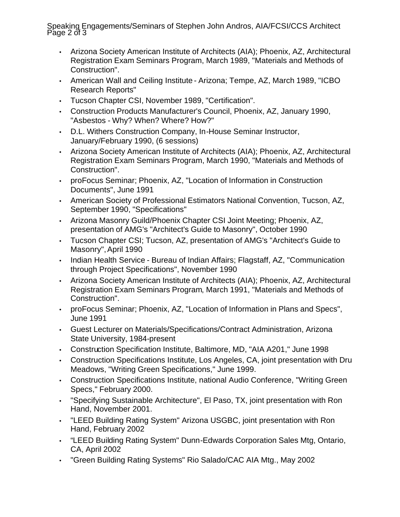Speaking Engagements/Seminars of Stephen John Andros, AIA/FCSI/CCS Architect Page 2 of 3

- Arizona Society American Institute of Architects (AIA); Phoenix, AZ, Architectural Registration Exam Seminars Program, March 1989, "Materials and Methods of Construction".
- American Wall and Ceiling Institute Arizona; Tempe, AZ, March 1989, "ICBO Research Reports"
- Tucson Chapter CSI, November 1989, "Certification".
- Construction Products Manufacturer's Council, Phoenix, AZ, January 1990, "Asbestos - Why? When? Where? How?"
- D.L. Withers Construction Company, In-House Seminar Instructor, January/February 1990, (6 sessions)
- Arizona Society American Institute of Architects (AIA): Phoenix, AZ, Architectural Registration Exam Seminars Program, March 1990, "Materials and Methods of Construction".
- proFocus Seminar; Phoenix, AZ, "Location of Information in Construction Documents", June 1991
- American Society of Professional Estimators National Convention, Tucson, AZ, September 1990, "Specifications"
- Arizona Masonry Guild/Phoenix Chapter CSI Joint Meeting; Phoenix, AZ, presentation of AMG's "Architect's Guide to Masonry", October 1990
- Tucson Chapter CSI; Tucson, AZ, presentation of AMG's "Architect's Guide to Masonry", April 1990
- Indian Health Service Bureau of Indian Affairs; Flagstaff, AZ, "Communication through Project Specifications", November 1990
- Arizona Society American Institute of Architects (AIA); Phoenix, AZ, Architectural Registration Exam Seminars Program, March 1991, "Materials and Methods of Construction".
- proFocus Seminar; Phoenix, AZ, "Location of Information in Plans and Specs", June 1991
- Guest Lecturer on Materials/Specifications/Contract Administration, Arizona State University, 1984-present
- Construction Specification Institute, Baltimore, MD, "AIA A201," June 1998
- Construction Specifications Institute, Los Angeles, CA, joint presentation with Dru Meadows, "Writing Green Specifications," June 1999.
- Construction Specifications Institute, national Audio Conference, "Writing Green Specs," February 2000.
- "Specifying Sustainable Architecture", El Paso, TX, joint presentation with Ron Hand, November 2001.
- "LEED Building Rating System" Arizona USGBC, joint presentation with Ron Hand, February 2002
- "LEED Building Rating System" Dunn-Edwards Corporation Sales Mtg, Ontario, CA, April 2002
- "Green Building Rating Systems" Rio Salado/CAC AIA Mtg., May 2002